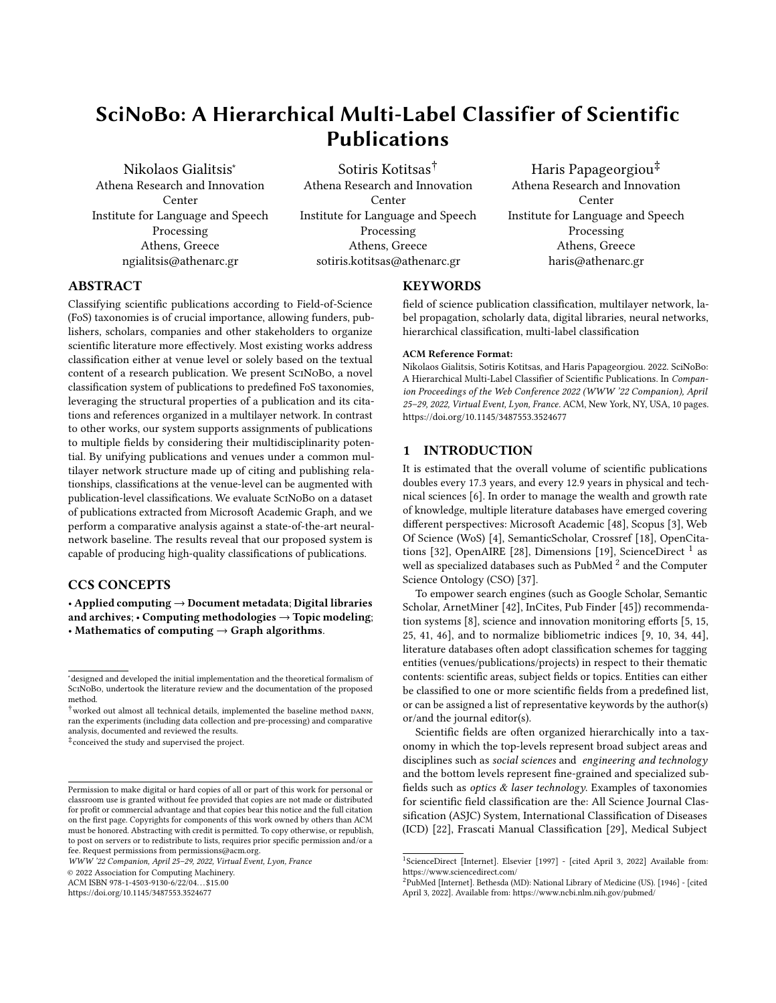# SciNoBo: A Hierarchical Multi-Label Classifier of Scientific Publications

[Nikolaos Gialitsis](https://orcid.org/0000-0002-3821-4851)<sup>∗</sup> Athena Research and Innovation Center Institute for Language and Speech Processing Athens, Greece ngialitsis@athenarc.gr

Sotiris Kotitsas† Athena Research and Innovation Center Institute for Language and Speech Processing Athens, Greece sotiris.kotitsas@athenarc.gr

Haris Papageorgiou‡ Athena Research and Innovation Center Institute for Language and Speech Processing Athens, Greece haris@athenarc.gr

# ABSTRACT

Classifying scientific publications according to Field-of-Science (FoS) taxonomies is of crucial importance, allowing funders, publishers, scholars, companies and other stakeholders to organize scientific literature more effectively. Most existing works address classification either at venue level or solely based on the textual content of a research publication. We present SciNoBo, a novel classification system of publications to predefined FoS taxonomies, leveraging the structural properties of a publication and its citations and references organized in a multilayer network. In contrast to other works, our system supports assignments of publications to multiple fields by considering their multidisciplinarity potential. By unifying publications and venues under a common multilayer network structure made up of citing and publishing relationships, classifications at the venue-level can be augmented with publication-level classifications. We evaluate SciNoBo on a dataset of publications extracted from Microsoft Academic Graph, and we perform a comparative analysis against a state-of-the-art neuralnetwork baseline. The results reveal that our proposed system is capable of producing high-quality classifications of publications.

# CCS CONCEPTS

• Applied computing  $\rightarrow$  Document metadata; Digital libraries and archives;  $\cdot$  Computing methodologies  $\rightarrow$  Topic modeling; • Mathematics of computing  $\rightarrow$  Graph algorithms.

 $\dagger$ worked out almost all technical details, implemented the baseline method DANN, ran the experiments (including data collection and pre-processing) and comparative analysis, documented and reviewed the results.

‡ conceived the study and supervised the project.

WWW '22 Companion, April 25–29, 2022, Virtual Event, Lyon, France

© 2022 Association for Computing Machinery.

ACM ISBN 978-1-4503-9130-6/22/04. . . \$15.00

<https://doi.org/10.1145/3487553.3524677>

# KEYWORDS

field of science publication classification, multilayer network, label propagation, scholarly data, digital libraries, neural networks, hierarchical classification, multi-label classification

#### ACM Reference Format:

Nikolaos Gialitsis, Sotiris Kotitsas, and Haris Papageorgiou. 2022. SciNoBo: A Hierarchical Multi-Label Classifier of Scientific Publications. In Companion Proceedings of the Web Conference 2022 (WWW '22 Companion), April 25–29, 2022, Virtual Event, Lyon, France. ACM, New York, NY, USA, [10](#page-9-0) pages. <https://doi.org/10.1145/3487553.3524677>

# 1 INTRODUCTION

It is estimated that the overall volume of scientific publications doubles every 17.3 years, and every 12.9 years in physical and technical sciences [\[6\]](#page-8-0). In order to manage the wealth and growth rate of knowledge, multiple literature databases have emerged covering different perspectives: Microsoft Academic [\[48\]](#page-9-1), Scopus [\[3\]](#page-8-1), Web Of Science (WoS) [\[4\]](#page-8-2), SemanticScholar, Crossref [\[18\]](#page-8-3), OpenCita-tions [\[32\]](#page-8-4), OpenAIRE [\[28\]](#page-8-5), Dimensions [\[19\]](#page-8-6), ScienceDirect <sup>[1](#page-0-0)</sup> as well as specialized databases such as PubMed  $^2$  $^2$  and the Computer Science Ontology (CSO) [\[37\]](#page-8-7).

To empower search engines (such as Google Scholar, Semantic Scholar, ArnetMiner [\[42\]](#page-9-2), InCites, Pub Finder [\[45\]](#page-9-3)) recommendation systems [\[8\]](#page-8-8), science and innovation monitoring efforts [\[5,](#page-8-9) [15,](#page-8-10) [25,](#page-8-11) [41,](#page-8-12) [46\]](#page-9-4), and to normalize bibliometric indices [\[9,](#page-8-13) [10,](#page-8-14) [34,](#page-8-15) [44\]](#page-9-5), literature databases often adopt classification schemes for tagging entities (venues/publications/projects) in respect to their thematic contents: scientific areas, subject fields or topics. Entities can either be classified to one or more scientific fields from a predefined list, or can be assigned a list of representative keywords by the author(s) or/and the journal editor(s).

Scientific fields are often organized hierarchically into a taxonomy in which the top-levels represent broad subject areas and disciplines such as social sciences and engineering and technology and the bottom levels represent fine-grained and specialized subfields such as optics  $&$  laser technology. Examples of taxonomies for scientific field classification are the: All Science Journal Classification (ASJC) System, International Classification of Diseases (ICD) [\[22\]](#page-8-16), Frascati Manual Classification [\[29\]](#page-8-17), Medical Subject

<sup>∗</sup>designed and developed the initial implementation and the theoretical formalism of ScINoBo, undertook the literature review and the documentation of the proposed method.

Permission to make digital or hard copies of all or part of this work for personal or classroom use is granted without fee provided that copies are not made or distributed for profit or commercial advantage and that copies bear this notice and the full citation on the first page. Copyrights for components of this work owned by others than ACM must be honored. Abstracting with credit is permitted. To copy otherwise, or republish, to post on servers or to redistribute to lists, requires prior specific permission and/or a fee. Request permissions from permissions@acm.org.

<span id="page-0-0"></span><sup>&</sup>lt;sup>1</sup>ScienceDirect [Internet]. Elsevier [1997] - [cited April 3, 2022] Available from: https://www.sciencedirect.com/

<span id="page-0-1"></span><sup>2</sup>PubMed [Internet]. Bethesda (MD): National Library of Medicine (US). [1946] - [cited April 3, 2022]. Available from: https://www.ncbi.nlm.nih.gov/pubmed/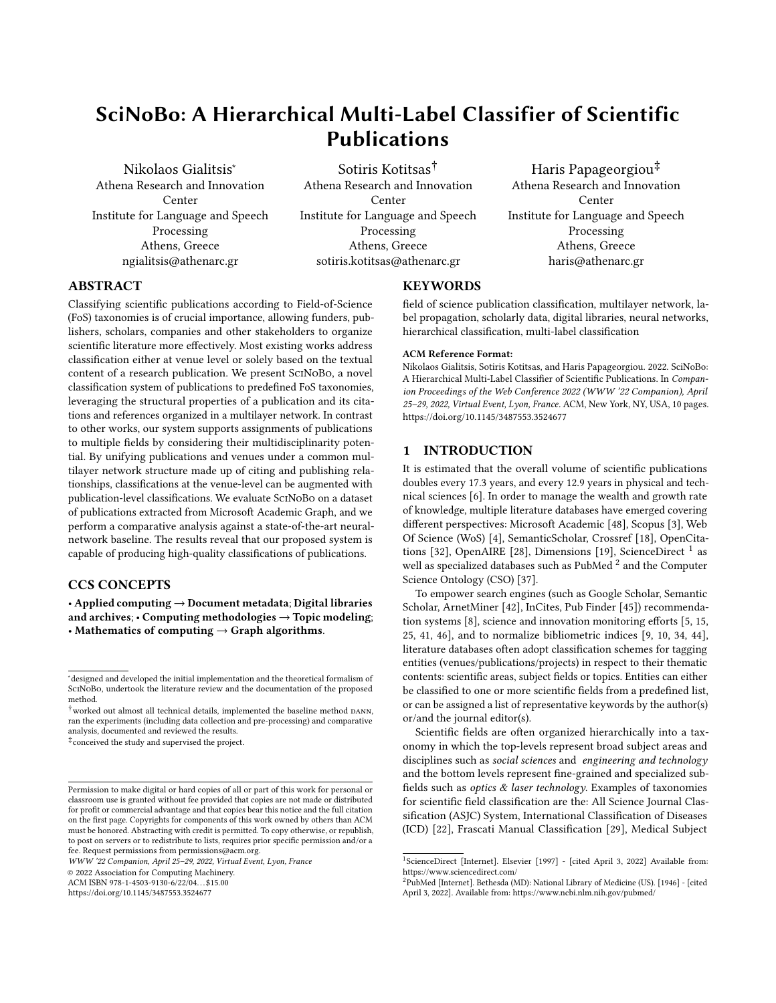WWW '22 Companion, April 25–29, 2022, Virtual Event, Lyon, France Nikolaos Gialitsis, Sotiris Kotitsas, and Haris Papageorgiou

Headings (MeSH)  $^3$  $^3$ , WoS Categories and Subject Areas  $^4$  $^4$ , Scopus Subject Areas <sup>[5](#page-1-2)</sup>, European Science Vocabulary (EuroSciVoc) <sup>[6](#page-1-3)</sup> and Microsoft Academic Graph Concepts [\[38\]](#page-8-18).

Recently, the scientometrics community has been shifting their focus from venue-level (journals/conferences) to publication-level classification systems, as evidenced by a growing line of research [\[12,](#page-8-19) [20,](#page-8-20) [21,](#page-8-21) [33,](#page-8-22) [35,](#page-8-23) [36,](#page-8-24) [38,](#page-8-18) [47\]](#page-9-6). Comparative studies [\[31,](#page-8-25) [39\]](#page-8-26) have shown that classification systems at the publication-level are more precise than venue-level counterparts as they naturally provide a higher degree of granularity, which can prove advantageous in certain applications.

Despite the fact that publication-level systems have been proposed several decades ago [\[13,](#page-8-27) [14\]](#page-8-28), venue-level classifications, including WoS and Scopus [\[2,](#page-8-29) [26,](#page-8-30) [30\]](#page-8-31), are still in use, since they are more easily curated by publishers and editors due to their smaller volume and more static nature. An extensive summary of approaches for venue-level classification and their limitations has been presented by [Archambault et al.](#page-8-29) [\[2\]](#page-8-29).

The majority of methods proposed for automatic FoS categorization perform some form of clustering on publications in order to map science or to identify topics from scratch. These include, topic modeling approaches [\[17,](#page-8-32) [42\]](#page-9-2) and the grouping of publications via citation networks [\[40,](#page-8-33) [43\]](#page-9-7) or bibliographic coupling [\[47\]](#page-9-6). Even though such unsupervised approaches are useful in many cases, they solve a different task to the one we focus on in this publication, which is the classification of publications according to a predefined FoS taxonomy

Our method SciNoBo, contributes to the domain of taxonomydriven FoS classification in more than one way. First and foremost, SciNoBo classifies publications across all disciplines, in contrast to other works that focus on a specific domain. Secondly, it is suitable for handling multidisciplinarity as it can be applied in both multiclass and multi-label classification settings. Furthermore, SciNoBo supports assignments to multiple levels of detail within a given FoS taxonomy by encoding hierarchical relationships among FoS labels. Moreover, SciNoBo classifies publications by requiring minimal metadata. A publication can be classified from the first day it becomes available online, and later as more metadata gradually become available, SciNoBo can classify the publication again by taking into account richer relationships. Lastly, we employ a new FoS taxonomy that extends OECD disciplines with SCIENCEMETRIX FoS codes.

The publication is structured as follows: We start by reviewing different approaches found in the literature for classifying publications according to a predefined FoS taxonomy. In section 3, we discuss the main limitations of existing approaches and the drivers for additional research. We then proceed in section 4 and describe in-detail the proposed methodology and its mathematical formulation. In the next section, we report on conducted experiments and implementation details. Next, we present results and discuss how SciNoBo performs against a neural state-of-the-art baseline. Finally, we reach conclusions and propose directions for subsequent research and improvements.

<span id="page-1-0"></span><sup>3</sup>[MeSH](https://meshb.nlm.nih.gov/treeView)

<span id="page-1-1"></span><sup>4</sup>[WoS](https://images.webofknowledge.com/images/help/WOS/hp_research_areas_easca.html)

<span id="page-1-2"></span>5 [Scopus Subject Areas](https://service.elsevier.com/app/answers/detail/a_id/15181/supporthub/scopus/session/L2F2LzEvdGltZS8xNjM4Mzg3MzE1L2dlbi8xNjM4Mzg3MzE1L3NpZC9mVXg4b3ZPWldqbk9WRW9lUElKZWZGNk5YY0s4aGFBNno0cTNXelNVdDBUcDBwSDhMbXhMQ2dsaHlNa1dVbjFmaTIzbHRXellmMGFOMlUxajZHcDFIUnc2ZkJXNlNVWWNHOTJUNWFwcUNYS3BRQWo3dF96Q0kzZ0ElMjElMjE%3D/)

<span id="page-1-3"></span><sup>6</sup>[EuroSciVoc](https://op.europa.eu/el/web/eu-vocabularies/euroscivoc)

# 2 RELATED WORK

Approaches for publication-level FoS classification mostly rely on metadata including titles, author-keywords and abstracts, since full text is often unavailable or locked behind a paywall. We distinguish two main approaches found in literature: keyword extraction methods, and machine learning methods.

# 2.1 Keyword extraction methods

Keyword extraction methods have been applied with the goal of identifying small sets of representative words, phrases, or n-grams to associate with a predefined set of FoS. According to the similarity scores (e.g. measuring overlap, or some vector space similarity such as the angle between word-vectors), the FoS candidates are ranked and the publication is classified to the best matching field(s).

For example, [Salatino et al.](#page-8-23) [\[35\]](#page-8-23) proposed a text-based classifier for classifying publications to one or more research area(s) from the Computer Science Ontology (CSO [\[37\]](#page-8-7)). N-grams extracted from each abstract are matched to FoS labels by means of Levenshtein similarity as well as by the cosine similarity between their pre-trained word2vec embeddings. Even though their approach performs multi-label classification and supports hierarchical assignments through CSO child-parent relationships, intensive postprocessing effort is needed to detect and filter-out false-positives. Also, the classifications are confined to the Computer Science domain.

[Shen et al.](#page-8-18) [\[38\]](#page-8-18) describe the concept tagging of publications within Microsoft Academic Graph (MAG). Publications are represented based on both graph structural and textual information by leveraging metadata including venue names, titles, keywords and abstracts, in addition to the metadata of their neighbors within the graph. Similarly, MAG concepts are represented by the first paragraph of their corresponding Wikipedia entry (concepts are derived from Wikipedia). The vector embeddings of both representations are compared through cosine similarity and the publication is classified to the concept (FoS) if the similarity exceeds a predefined threshold. Nevertheless, the representation of a MAG concept directly depends on its Wikipedia entry, whereas for most taxonomies, only word labels represent the classes. Furthermore, empirical weights and heuristics are applied therein which prohibits complete reusability.

## 2.2 Machine learning methods

2.2.1 Traditional methods. This category encompasses supervised machine learning methods i.e. labeled examples are required in order to train the model. These were some of the first approaches towards the automatic classification of publications according to a pre-defined FoS taxonomy.

[Caragea et al.](#page-8-34) [\[7\]](#page-8-34) classify publications to one out of six FoS categories from the CiteSeer literature database by taking advantage of citation relationships. The citation contexts of publications (citing and cited) are used in order to train different variations of the Multinomial Naive Bayes classifier. However, this approach does not support multi-label assignments and is only tested on a classification scheme containing few non-hierarchical FoS categories.

Domain-specific FoS classification systems have also been sporadically developed. [Lukasik et al.](#page-8-35) [\[27\]](#page-8-35) examine a combination of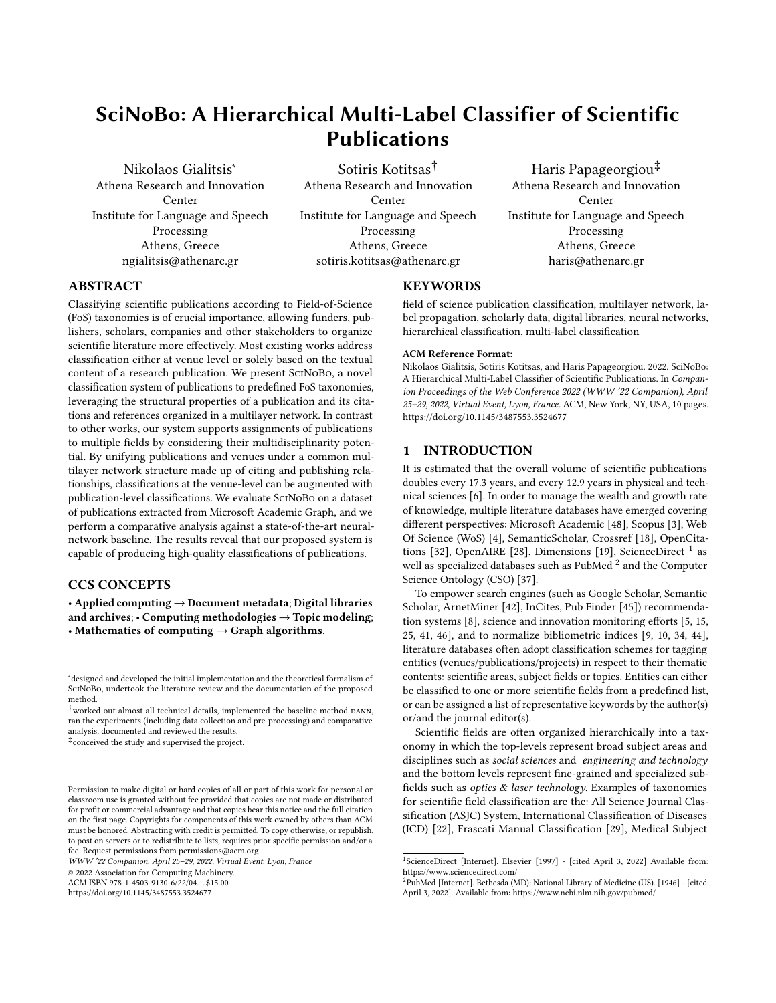SciNoBo : A Hierarchical Multi-Label Classifier of Scientific Publications WWW '22 Companion, April 25–29, 2022, Virtual Event, Lyon, France

Naive Bayes and kNN algorithm on the hierarchical multi-label classification of publications according to Mathematical Subject Headings (MSC). Similarly, [Kurach et al.\[24\]](#page-8-36) construct classifier ensembles in order to assign MeSH terms to biomedical publications from the Pubmed Central database. They evaluate various combinations of machine learning methods in a supervised multi-label classification setting. However, their study does not account for hierarchical relationships among FoS labels.

2.2.2 Deep learning methods. Nowadays, traditional machine learning approaches for FoS classification have mostly been superseded by deep learning methods.

[Kandimalla et al.](#page-8-21) [\[21\]](#page-8-21) employ a deep neural encoder equipped with the attention mechanism in order to classify publications to WoS subject categories. They keep the most representative words per abstract in terms of TF-IDF score and subsequently map them to pre-trained word embeddings before feeding them to the neural network. However their approach does not take into account the hierarchical relationships of the FoS taxonomy and finds difficulty in discriminating between FoS categories with similar vocabulary.

In [\[33\]](#page-8-22), a modified character-level Convolutional Neural Network (CNN) is compared against the more traditional approaches of bibliographic coupling and direct citation for the problem of FoS classification. They evaluated the performance of each method separately on a publication-level human-curated test dataset comprising of 200 publications in total, half randomly sampled from disciplinary journals, and the other half from multidisciplinary. For training the CNN, the training labels used were direct extensions of the venue label. No clear winning method was announced in the comparative study as all resulted in similar performance. Multiple sources of metadata were given as input to the CNN, including authors' affiliations, referenced venue names, reference titles, abstract, keywords, title, and subfield classification of references. Most of these however are rarely available. Furthermore, the text-based input is concatenated/truncated arbitrarily and does not take into account term semantics.

[Hoppe et al.\[20\]](#page-8-20) combine a BiLSTM neural network architecture with Knowledge Graphs (KG) in order to represent class labels by their KG-embeddings. The intuition is that by including the KG embeddings of the classes, in addition to their word labels, the FoS classifier will achieve higher performance. They demonstrate the above, on the multi-label classification of  $\sim$  92K ArXiv publications represented by DBpedia embeddings. Nevertheless, the relationship between the FoS labels is not taken into account as the multi-label classification problem is decomposed into independent binary classifications.

In the position paper HierClasSArt [\[1\]](#page-8-37), knowledge graphs (KGs) were proposed, in addition to neural networks, for the FoS classification of publications to mathematical topics from the zbMATH database. KG-embeddings leveraging both textual and structural metadata can be derived from the available metadata, and successively be provided as input to a deep neural network. Hierarchical relations among entities may be captured through the help of NLP methods or human experts, but the exact details are not thoroughly described. While such a methodology can potentially be transferred to other domains, only the domain of mathematics was explored in the study.

<span id="page-2-1"></span>

Figure 1: Illustration of the proposed method. After we define our graph in Graph Representation, we retrieve metadata and construct it. The result is a Multilayer Graph and after Label Propagation, we can input a publication along with the required metadata to retrieve the FoS labels.

# <span id="page-2-2"></span>3 MOTIVATION

Existing FoS classification approaches completely ignore, or face significant difficulties when dealing with multidisciplinarity, either at the venue or at the publication-level. Moreover, nearly all of them depend on textual content which, when available, is prone to concept drift, discourse norms in specific fields and multilinguality specificities. Moreover, several approaches confine classifications to a specific discipline or lack generalization capabilities. In addition, hierarchical relationships between FoS labels are often under-utilized or ignored.

Therefore, there is still a need for developing systems for efficient multi-label classification at the publication level. Our motivation is that by taking into account both the citing/publishing relationships at the publication-level as well as at the venue-level, we will be able to provide "context-aware" classifications without considering publication content. In contrast to other methods, we propose a multiclass multi-label classification approach assigning research publications to one or more FoS codes capturing the increasing multidisciplinarity in literature.

# 4 SCINOBO

The method we propose is based on the assumption that a publication [7](#page-2-0) mostly cites thematically related publications. We bridge venues (journals/conferences) and publications by constructing a multilayer network (graph) in which venues are represented by nodes, and venue-venue edges reflect citing-cited relationships in their respective publications. SciNoBo classifies publications to

<span id="page-2-0"></span> $7$ We use the term "publication" to refer to all peer-review research works published in journals or conferences.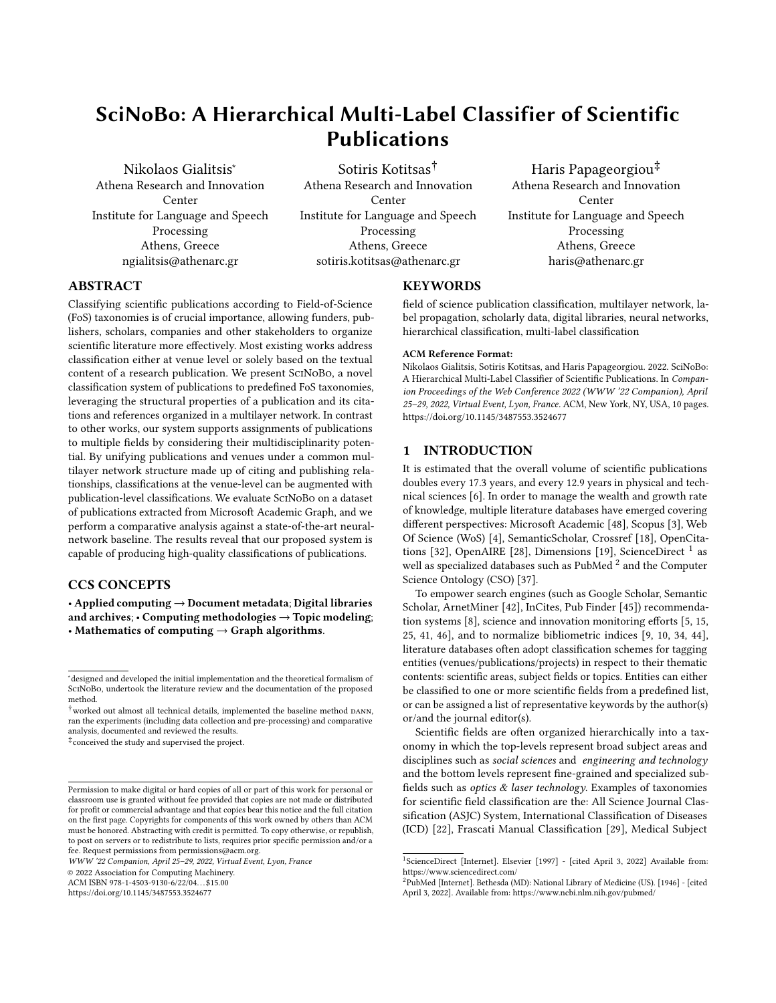one or more FoS based on the publishing venues of the publications it references (out-citations) and the publishing venues of the publications it gets cited by (in-citations). Therefore, SciNoBo classifies publications with minimal metadata utilizing only journal or conference names as well as citing information. Figure [1](#page-2-1) illustrates the steps followed to create SciNoBo. Each step of the approach is analytically covered in the following subsections.

# <span id="page-3-5"></span>4.1 Graph Representation

SciNoBo unifies multiple types of relationships (edges) between entities as well as multiple types of entities under a common framework of operations represented as a multilayer network  $^8$  $^8$  (see Figure [2\)](#page-3-1). We consider a multilayer network  $\mathcal{G}=(\mathcal{V}, \mathcal{E}, \mathcal{L})$  where  $\mathcal{V}$  contains the set of publications  $P$ , the set of venues  $J$ , and the set of scientific fields F. Or equivalently:  $V = \mathcal{P} \mid \mathcal{F} \mid \mathcal{F}$ . The symbol  $\mathcal E$  represents the set of edges (links) between nodes; and  $\mathcal L$  is the set of layers capturing different types of relationships between nodes. Since the network has multiple layers, each edge belongs to one layer  $\ell \in \mathcal{L}$  and has a weight  $w \in \mathbb{R}^+$ . We can represent all edges in the network using 4-tuples as:  $\mathcal{E} = \{(u, v, \ell, w): u, v \in \mathcal{V}, \ell \in \mathcal{E}\}$  $\mathcal{L}, w \in \mathbb{R}^+$  and  $(u, v, \ell, w) < (v, u, \ell, w)$  (directed edges). Edges in layer  $\ell \in \mathcal{L}$  represent a particular type of connection among nodes, and two nodes  $u$ ,  $v$  might be connected by edges in multiple layers.

We formulate the task of scientific field classification as a linkprediction problem in the multilayer network. The goal is to predict edges between publication-nodes and scientific-field nodes:  $\{(u, v, \ell_0, w); u \in \mathcal{P}, v \in \mathcal{F}, \ell_0 \in \mathcal{L}, w \in \mathbb{R}^+\}.$ 

An edge between two publications  $(p_i, p_j)$  at  $\ell_1$  means that publication  $p_i$  cites publication  $p_j$ . An edge at layer  $\ell_2$  connects a publication to its publishing venue(s). We also define edges between venues at  $\ell_3$ :  $\{(u, v, \ell, w); u, v \in \mathcal{J}, \ell \in \mathcal{L}, w \in \mathbb{R}^+\}$ ; where w is the number of publications which have been published in venue  $u$  and cite (reference) publications published in venue  $v$ . The weight of an edge  $(v, f)$  at  $l_4$  corresponds to how thematically relevant the publications published in  $v$  are to the scientific field  $f$ . Finally,  $\ell_5$ + layers represent hierarchical relationships among labels.

# <span id="page-3-9"></span>4.2 Graph Creation

Sc1NoBo network was populated by exploiting  $\overline{\text{cross}}$ res $^9$  $^9$  and Microsoft Academic Graph (MAG)  $^{10}$  $^{10}$  $^{10}$ . CROSSREF contains more than 120 million publications and mag contains approximately 250 million records. We retrieve all the publications that were published between 2016−2021, along with their references  $^{\mathrm{11}}$  $^{\mathrm{11}}$  $^{\mathrm{11}}$  and their citations when available.

For every publication, the publishing venue is contained in the metadata. However this is not the case for the references and citations. As a result, for every publication we query its references and citations in CROSSREF/MAG (by taking the union of the metadata) and we retrieve the original metadata of the reference or the

<span id="page-3-1"></span>

Figure 2: Schematic representation of the multilayer network

citation. Inherently, we can now create venue-venue relationships (edges at layer  $\ell_3$ ) as in [4.1.](#page-3-5) The weight of a venue-venue edge is the amount of times a venue has referenced or being cited by another venue. An edge is created between two venues if they (i.e. their respective publications) cite each other more than 10 times  $^{12}$  $^{12}$  $^{12}$ . Post graph creation, we normalize the weights of each node's outgoing edges to sum up to 1 by diving with the maximum weight of each neighborhood. The normalized weight of a venue-venue edge  $(u, v)$  can be roughly interpreted as the probability of a publication published in  $u$  to cite a publication published in  $v$ .

<span id="page-3-8"></span>Venue Deduplication. : A considerable challenge is dealing with naming inconsistencies in the reporting of venues in publication references/citations, or different instances of the same venue. This challenge is particularly prevalent in Crossref metadata since the published venue of each publication is being deposited by the authors. Our main goal is to create abbreviations for the names of the venues e.g. the "Empirical Methods in Natural Language Processing" conference should be mapped to EMNLP. Furthermore, different instances of venues should also be mapped to a unique venue abbreviation (e.g. EMNLP 2019, EMNLP 2020 etc. to EMNLP)  $^{13}$  $^{13}$  $^{13}$ . In addition by performing an exploratory analysis on the names of the reported venues, we conclude that most of the abbreviations exist after the character '−' and inside parentheses.

While parsing the publications during the Graph Creation process, we keep a mapping from the full venue names to the venue abbreviations we have identified, while creating the venue-venue

<span id="page-3-0"></span><sup>&</sup>lt;sup>8</sup>Multilayer networks are data structures used to model complex interactions [\[23\]](#page-8-38), ranging from Biomedicine [\[16\]](#page-8-39), to Social Network Analysis [\[11\]](#page-8-40).

<span id="page-3-2"></span><sup>9</sup>https://www.crossref.org/

<span id="page-3-3"></span> $^{10}\mathrm{https://www.microsoft.com/en-us/research/projects/microsoft-academic-graph/}$ 

<span id="page-3-4"></span><sup>&</sup>lt;sup>11</sup> references retrieved were confined in a 10 year window. Older references should be omitted as it is customary for research papers to cite old works (e.g. in the introduction section) in order to provide general background knowledge whose themes may not directly coincide with the publication's.

<span id="page-3-6"></span> $^{12}\mathrm{We}$  observed that by using a lower weight threshold we introduce noise into the network by including low-signal venues of questionable quality. On the contrary, a weight threshold  $t \sim 100$  leads into a large number of reputable conferences to being omitted as their individual instances (e.g. annual) are filtered before the venue deduplication and aggregation steps, discussed in [\(4.2\)](#page-3-8), take place.

<span id="page-3-7"></span><sup>&</sup>lt;sup>13</sup>The following preprocessing was applied to the names of the venues: Removal of latin, cardinal and ordinal numbers, dates, days, months, pre-specified words/phrases (e.g. "speech given", "oral talk" etc.), stopwords, special characters;adding a space when removing them and normalizing multiple spaces. The same preprocessing procedure is also applied during inference.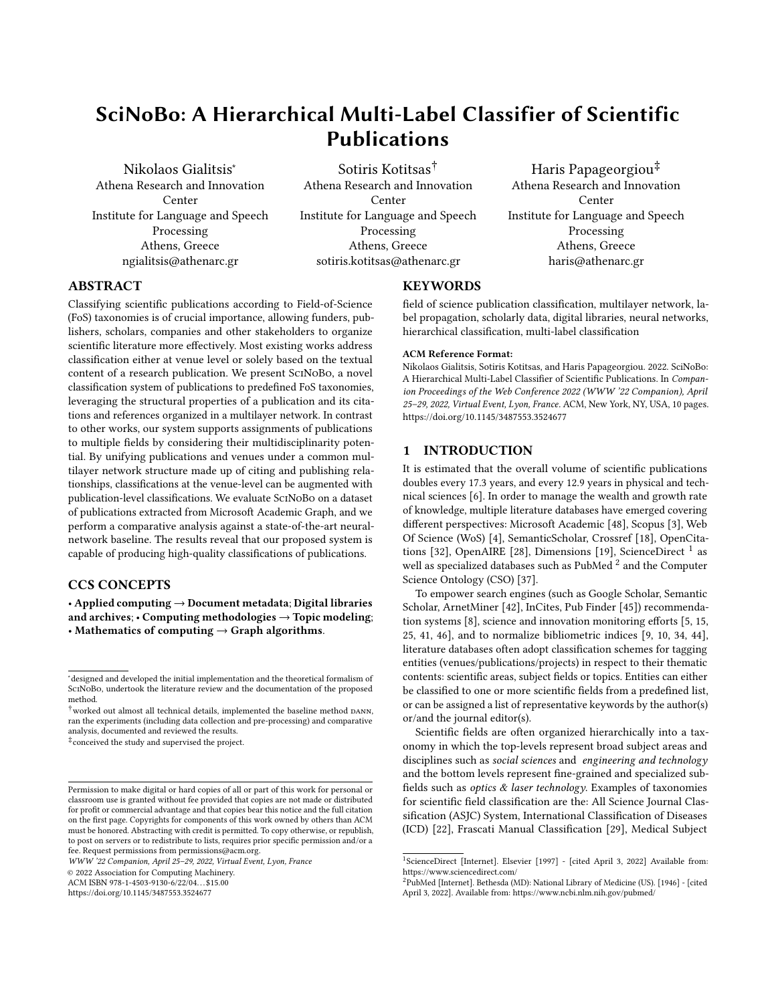SciNoBo : A Hierarchical Multi-Label Classifier of Scientific Publications WWW '22 Companion, April 25–29, 2022, Virtual Event, Lyon, France

edges. The mapping created is also used during inference time, to map the incoming venues to the abbreviated venue names in the multilayer graph of SciNoBo.

<span id="page-4-3"></span>Field-of-Science Taxonomy. : Our classification scheme is underpinned by the OECD disciplines/fields of research and development (FORD) classification scheme, developed in the framework of the Frascati Manual <sup>[14](#page-4-0)</sup> and used to classify R&D units and resources in broad (first level(L1), one-digit) and narrower (second level(L2), two-digit) knowledge domains based primarily on the R&D subject matter. To facilitate a more fine grained analysis, we extend the OECD/FORD scheme by manually linking FoS labels of the sciencemetrix [15](#page-4-1) classification scheme to OECD/FORD level-2 categories, creating a hierarchical 3-layer taxonomy. Table [1](#page-4-2) provides statistics of our taxonomy.

<span id="page-4-2"></span>

|         | Levels of FoS Number of Labels |  |  |  |
|---------|--------------------------------|--|--|--|
| Level 1 | 6                              |  |  |  |
| Level 2 | 42                             |  |  |  |
| Level 3 | 174                            |  |  |  |

Table 1: Statistics of the extended OECD/FORD classification scheme.

sciencemetrix Classification also provides a list of Journal Classifications. We integrate this list, by mapping its journals to Sci-NoBo nodes and linking them with the relevant FoS codes. This mapping represents  $\ell_4$  relationships, which are utilized to classify publications in FoS labels. Initially a small portion of venues have an FoS in Level-2 and Level-3. By utilizing Label Propagation, we aim to increase the venue label coverage.

#### <span id="page-4-5"></span>4.3 Label Propagation

The intuition behind incorporating venues into the network, is that starting from a small set of seeds (venues with FoS labels), we can propagate the information to the rest of the network. The hypothesis is that a venue is more likely to express the FoS of its most referenced venues, an approach resembling a nearest-neighbor classification setting.

We assume that only a subset of venues  $\mathcal{J}^* \subseteq \mathcal{J}$  has available FoS labels (i.e. venue-FoS edges in layer  $\ell_4$ ). However, we do not consider these seed venue-FoS classifications to be ground-truth and we re-evaluate them dynamically during label propagation. By taking into account the network of venue-venue relationships, we enrich the initial FoS journal classifications described in [4.2](#page-4-3) by inferring additional venue-FoS relationships. Consequently, previously single-labeled classifications may become multi-labeled after a few rounds of label propagation.

Label propagation is an iterative procedure. On each iteration, every venue-node aggregates the FoS labels of its neighbors in proportion to the venue-neighbor preference and neighbor-FoS preference. The preference of a venue towards one of its neighbors is expressed through the venue-venue normalized edge weight at  $t_4$ . A weight of 0 equals to no preference (i.e. publications do not cite publications published by the neighbor venue) whereas a weight of

<span id="page-4-1"></span><sup>15</sup>https://science-metrix.com/

<span id="page-4-4"></span>

| Nodes | Edges   | Pre Label Propagation<br>$Lvl1-Lvl2-Lvl3$ |    |       | Post Label Propagation<br>$Lvl1-Lvl2-Lvl3$ |       |       |  |
|-------|---------|-------------------------------------------|----|-------|--------------------------------------------|-------|-------|--|
| 94752 | 3112953 | N/A                                       | 84 | 14889 | 32049                                      | 32049 | 32324 |  |

Table 2: Complete graph statistics. Pre Label Propagation indicates the number of venues that have FoS labels per Level before Label Propagation. Post Label Propagation indicates the number of venues with FoS Labels per Level after we apply Label Propagation. Nodes represent the number of venue nodes in the multilayer graph.

1 equals to absolute preference (all publications cite publications published by the neighboring venue). These two preferences can be multiplied together, to estimate the expected weight between the venue, and each FoS node connected to its neighbors.

Given layers: $\ell_t$ ,  $\ell_{t+1}$ the label propagation formula is: venue-FoS  $w_{i,k}^{\ell_{t+1}} =$  $j \in \mathcal{N}_i^{\ell_t}$ Õ  $k \in \mathcal{N}_i^{\ell_{t+1}}$  $\tilde{\bm{\sigma}}$ ue-neighbor  $w_{i,j}^{\ell_t}$  . neighbor-FoS  $w_{i,k}^{\ell_{t+1}}$ for all citing venues in  $\ell_t$  $\forall i \in \{u: \exists (u, \cdot, \ell_t, \cdot); u \in V\}$ for each cited neighbor's FoS  $\forall k \in \{v: \exists (j, v, \ell_{t+1}, \cdot); j \in \mathcal{N}_i^{\ell_t}; v \in \mathcal{V}\}\$ where  $\mathcal{N}_i^{\ell_t}$  are venues cited by  $i \in \ell_t$ 

Complete statistics regarding the Graph (before and after Label Propagation) are presented in Table [2.](#page-4-4) We observe that Label Propagation achieves wide coverage between venue-FoS  $(t_4)$  edges.

#### <span id="page-4-6"></span>4.4 Publication Classification

SciNoBo can assign FoS labels to individual publications through citing/cited-by relationships and publishing/published-by relationships. Publication-classification uses the same label propagation mechanism as the one presented in [4.3.](#page-4-5) Assume that each publication is represented by a unique node in the SciNoBo network. The goal is to connect each publication node to one or more FoS nodes in layer  $\ell_0$ . We have already discussed how venue-FoS relationships  $(\ell_4)$  can be established in the subsections [4.2](#page-4-3) and [4.3.](#page-4-5)

There exist multiple ways to back-propagate information from the venue level to the publication level depending on the available metadata:

- (1) based on the published venues ( $Published-by$ )
- (2) based on the referenced/cited venues (References)
- (3) based on the cited+citing venues (References + Citations)

**Published-by.** (SCINOBO-PUB): Given a publication  $p$  and the set of distinct venues in which it has been published in  $\{v_1, v_2, \cdots, v_n\}$ we draw weighted edges in layer  $\ell_2$  of weight  $w_{p,v} = \frac{1}{n}$ . Thus, the weight is equally distributed among all published venues. Conse- $\frac{W_{\text{cell}}}{n}$ , each venue contributes a score  $\frac{W_{\text{b}}}{n}$  to the publication. The scores per FoS are aggregated and ranked according to their total weights. The publication is finally classified to the top  $T$  FoS, where  $T$  might be fixed or be equal to the number of weights that exceed a user-defined threshold.

References. (SCINOBO-REF): Given a publication  $p$  and a set of venues it references  $\{v_1, v_2, \dots, v_n\}$  we draw edges in layer  $\ell_2$  of weight  $w_{p,v}$  = (number of referenced publications published in  $v$ )/n.

<span id="page-4-0"></span> $\rm ^{14}https://www.oecd.org/sti/inno/frascati-manual.htm$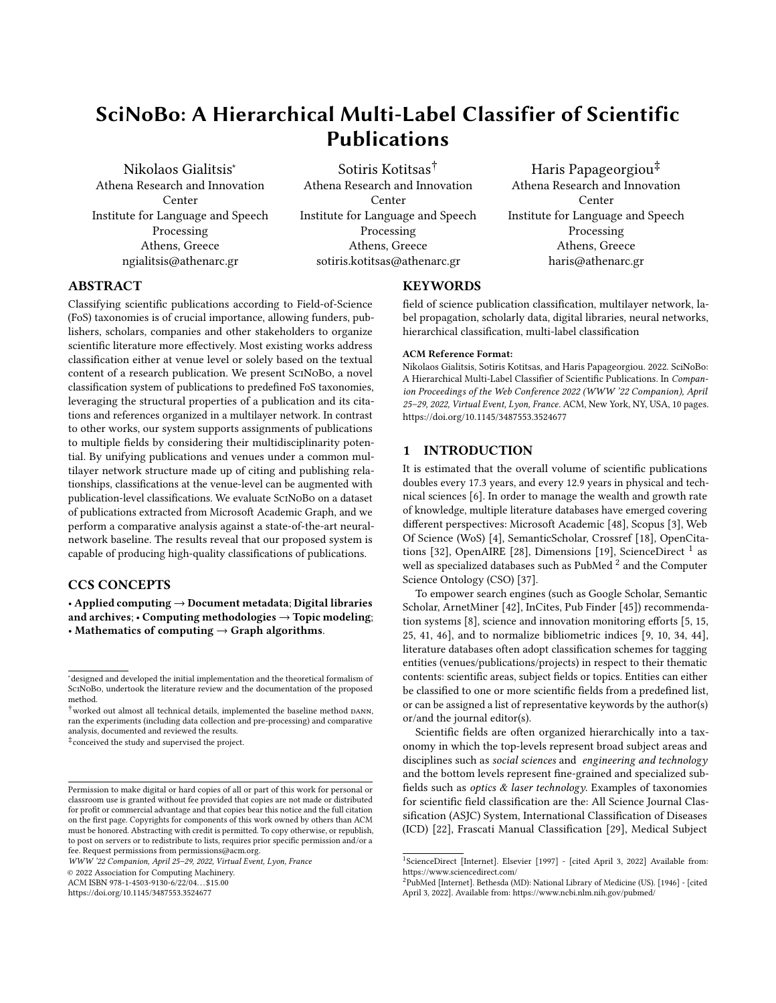Each venue contributes a score  $(w_{p,v}) \cdot (w_{venue, FoS})$  where  $w_{venue, FoS}$ is the normalized weight of the venue-FoS edge in ℓ4. Similar to the (published-by approach), the weights are aggregated and the publications are assigned to the top  $T$  FoS.

References + Citations. (SCINOBO-CITREF): This approach is identical to the reference approach except that in addition to referenced venues, the cited-by (citation) venues are also included in the venue set if available. A methodology originally proposed in the context of one particular field might eventually prove groundbreaking in a completely different field. By incorporating citation venues, SciNoBo captures cross-domain FoS that would otherwise be missed.

# 5 EXPERIMENTS

## <span id="page-5-3"></span>5.1 Dataset

In our experiments, we utilize the sciencemetrix Journal classification. sciencemetrix provides a list of Journals alongside with FoS labels [\(4.2\)](#page-3-9). Furthermore, these FoS categories have been mapped to Level-3 FoS categories in our taxonomy [\(4.2\)](#page-4-3).

To create, a comprehensive, large-scale, and clean dataset, we retrieve publications from Microsoft Academic Graph (mag) that are published in the Journals classified from SCIENCEMETRIX. MAG provides a wide range of publications. Figure [3](#page-5-0) presents the number of Journals that sciencemetrix has classified to Level-3 FoS in our taxonomy. One can easily observe, that by retrieving a certain amount of publications per journal, an unbalanced dataset will be created. We retrieve 500 publications per Journal and per Level 3 FoS. The unbalanced dataset created, describes real-world data, hence our evaluation splits follow this unbalanced distribution.

Moreover, we compare SciNoBo to a deep learning method, which requires a balanced train dataset. To that end, we further sample mag to obtain 10K train samples per Level 3 FoS. The final dataset statistics are presented in Table [3.](#page-5-1) For every publication, we also retrieve abstracts and additional metadata.

One limitation of the above-mentioned approach, is that the sciencemetrix classification is at the journal-level and not at the publication-level. We try to mitigate this effect by excluding multidisciplinary (e.g PLOS ONE) journals and assume that the journallevel classification also represents the publication-level classification.

<span id="page-5-1"></span>

| Statistics          |         | Train Set Development Set Test Set Total |        |         |
|---------------------|---------|------------------------------------------|--------|---------|
| Number of Instances | 1687826 | 120282                                   | 120307 | 1928415 |

Table 3: Statistics of the dataset used for training and evaluating our methods.

## <span id="page-5-2"></span>5.2 Baseline Method

We compare SciNoBo, to DANN [\[21\]](#page-8-21), a state-of-the-art model which utilizes textual information (abstracts) with a deep attentive neu-ral network. DANN [\[21\]](#page-8-21), represents each abstract, by sorting the words based on  $TF$ -IDF scores, keeping the top  $d$  words, reverting to the original ordering and encoding them with pretrained Word Embeddings. Then, a deep neural encoder, with a bidirectional RNN

<span id="page-5-0"></span>

Figure 3: Distribution of Journals, classified from sciencemetrix into Level-3 FoS categories in our taxonomy. Names of all Level 3 FoS labels were omitted for simplicity.

and SELF-ATTENTION, encodes the abstract and a final softmax layer outputs the probabilities for each FoS category.

Despite being one of the first works that utilized Deep Neural Networks, along with textual information to classify publications into FoS categories, the TF-IDF filtering of the words of the abstracts breaks the sequence order and limits the effects of the rnn encoders. Furthermore, DANN cannot perform hierarchical classification, whereas our approach is inherently hierarchical, since the SciNoBo network can provide publication-FoS codes at all 3 Levels of the taxonomy by employing the label propagation mechanism described in [4.3](#page-4-5) and [4.4.](#page-4-6)

# 5.3 Implementation Details

Following [\[21\]](#page-8-21), we employ their best model, which utilizes pretrained FASTTEXT embeddings on a corpus created from WoS and TF-IDF filtering of the abstracts by keeping the  $d = 80$  most relevant words. To that end, we created a large corpus by retrieving publications from mag, assigned to Level 3 FoS labels in our taxonomy. The created corpus contains approximately 20 million publications with abstracts. We trained FASTTEXT embeddings and calculated TF-IDF scores. Regarding, the neural encoder of DANN, we employed our pretrained FASTTEXT embeddings with dimensionality of 100 and utilized 128 neurons at the recurrent encoders. Dropout was set at 0.2 and ADAM was used as the optimizer with learning rate of 10−<sup>3</sup> . We utilize Early Stopping with patience of 20, perform multiple experiments to account for standard deviation and present averaged results.

Regarding SciNoBo, no hyperparameter selection is required. After the Label Propagation [\(4.3\)](#page-4-5) procedure is finished, the only information needed to infer publications to FoS categories, are published and citing/cited venues as stated in [4.4.](#page-4-6) We perform 2 rounds of Label Propagation.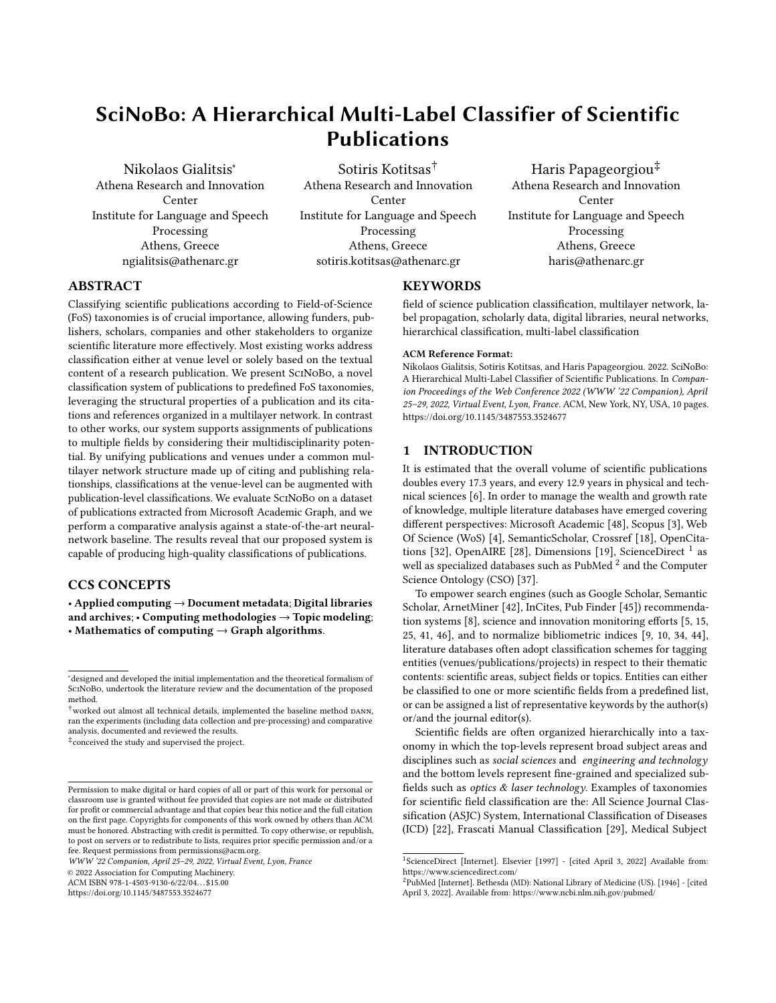SciNoBo : A Hierarchical Multi-Label Classifier of Scientific Publications WWW '22 Companion, April 25–29, 2022, Virtual Event, Lyon, France

<span id="page-6-1"></span>

| <b>MODELS</b>        | MACRO-F1           | WEIGHTED-MACRO-F1  | MICRO-F1           |
|----------------------|--------------------|--------------------|--------------------|
| DANN-TOP-1           | $0,4465 \pm 0,003$ | $0,5873 \pm 0,002$ | $0,4563 \pm 0,002$ |
| DANN-TOP-2           | $0,6007 \pm 0,008$ | $0,7307 \pm 0,002$ | $0,6154 \pm 0,003$ |
| SCINOBO-CITREF-TOP-1 | $0.4627 \pm 0.0$   | $0,4900 \pm 0.0$   | $0,4900 \pm 0,0$   |
| SCINOBO-CITREF-TOP-2 | $0.6000 \pm 0.0$   | $0.6208 \pm 0.0$   | $0.6177 \pm 0.0$   |
| SCINOBO-REF-TOP-1    | $0,4781 \pm 0,0$   | $0,5000 \pm 0.0$   | $0,5022 \pm 0.0$   |
| SCINOBO-REF-TOP-2    | $0,6190 \pm 0,0$   | $0.6277 \pm 0.0$   | $0.6205 \pm 0.0$   |
| SCINOBO-PUB-TOP-1    | $0,7303 \pm 0.0$   | $0,7309 \pm 0.0$   | $0,7503 \pm 0.0$   |
| SCINOBO-PUB-TOP-2    | $0,8200 \pm 0,0$   | $0,8223 \pm 0,0$   | $0,8270 \pm 0,0$   |

Table 4: macro-f1, weighted-macro-f1 and micro-f1 scores. Best scores are shown in bold. DANN's experiments were repeated 4 times and averaged results are presented with standard deviation. The postfix top-1 and top-2 refer to the two settings described in Section [5.4.](#page-6-0)

# <span id="page-6-0"></span>5.4 FoS Classification & Evaluation

Given that DANN [\(5.2\)](#page-5-2) cannot perform hierarchical classification, evaluation was carried out at level-L3 of our classification scheme (i.e., 174 FoS Labels). In Section [4.4,](#page-4-6) the different approaches of classifying publications with SciNoBo have been explored. To analyze the impact of each classification approach, we present results for each variant. Evidently, this analysis can also be viewed as an ablation study.

The evaluation dataset and the baseline (DANN) support only multiclass classification, whereas SciNoBo can be utilized in multilabel and multiclass tasks. Publication-level classification cannot always be addressed as a multiclass task, since a growing number of multidisciplinary publications is published, and journals slowly shift towards that direction. We perform multiclass evaluation to be aligned with the created dataset and baseline, but also present results with two settings to cater for multidisciplinarity. TOP-1 where we output only the most-probable FoS Label and top-2 where we output the two most-probable FoS Labels.

We compute MACRO-F1 and MICRO-F1 to compare performance between ScINoBo and DANN. Recall that our test set is unbal-anced [\(5.1\)](#page-5-3) and to account for it we also compute WEIGHTED-MACROf1.

# <span id="page-6-2"></span>5.5 FoS Classification Results

Field of Science classification results are reported in Table. [4.](#page-6-1) Regarding MACRO-F1, WEIGHTED-MACRO-F1 and MICRO-F1 our variant of SciNoBo that utilizes only the published venues (SciNoBo-pub) outperforms all the other methods, in both evaluation settings (TOP-1, top-2). This presumably can be attributed to the nature of our evaluation dataset. Since the labeling of the publications in our dataset originates from labeling at the journal level, we can view SciNoBo-pub as a method to perform journal classification, in effect same as SCIENCEMETRIX. One would expect SCINOBO-PUB to perform much better than already did. This is not the case, because we re-evaluate the initial venue label assignment during Label Propagation [\(4.3\)](#page-4-5). This label re-assignment originates from the neighborhood structure of the venue in question, indicating that the original label assignment should be reconsidered or that by aggregating more than one FoS labels the venue leaned towards multidisciplinarity.

SCINOBO-REF clearly outperforms in MACRO-F1 and MICRO-F1 both SciNoBo-citref and DANN in top-1 setting and still outperforms them in top-2 setting, however with the results being more competitive. We conclude that is important to take into account the references of a publication when it is published, which are always available (even on the first day of publication), unlike textual information. Furthermore, DANN's performance might be hindered by only utilizing abstracts, since many FoS labels have overlapping terminology [\(3\)](#page-2-2). On the other hand, this effect is mitigated in SciNoBo because authors usually cite similar work in their publications, making the FoS label more easily interpretable.

However, all of the methods perform much better in the TOP-2 setting, revealing that the correct FoS label (according to the dataset) is frequently in the second most probable position. This implies the multidisciplinary nature of publications and suggests the need for creating a multi-label publication-level dataset to account for multidisciplinarity, which we leave for future work.

For WEIGHTED-MACRO-F1, DANN outperforms SCINOBO-CITREF and SCINOBO-REF in both settings, achieving a high score in the TOP-2 setting. Recall that our evaluation sets are unbalanced. WEIGHTEDmacro-f1 assigns a weight to the FoS labels according to the number of samples that each FoS label has in the evaluation set. DANN performs much better in this setting showing that it classifies correctly more high weighted FoS labels. Whereas our methods perform mostly similar in both metrics suggesting that presumably SciNoBo overall generalizes better but performs poorly in some high-weighted FoS labels.

One key observation, is that SCINOBO-REF performs slightly better than SCINOBO-CITREF in all three metrics and in both settings, suggesting that as time evolves and publications receive more and more citations their primary FoS label shifts thematically.

Finally, DANN is a deep neural attentive network and apart from computational training time (23 hours per experiment) with each experiment, results slightly deviate. Furthermore, differences in hardware, limit the reproducibility of the results. SciNoBo has no computational/hardware overhead, apart from Label Propagation which is in the order of minutes and does not require a GPU, deviation of the results is non-existent which makes it more robust. The output will deviate only if the multilayer graph is changed or a publication receives more citations.

# 5.6 Qualitative analysis

To better understand the differences of each approach and to further establish the aforementioned arguments in Section [5.5,](#page-6-2) we present qualitative results.

Inferring with SCINOBO-REF and SCINOBO-CITREF: Table [5](#page-7-0) presents three publications along with additional metadata (DOI, title, abstract) and the inferred FoS label when inferring with SCINOBO-REF and SCINOBO-CITREF. We observe that SCINOBO-REF inferred all three publications successfully.

This behavior can be attributed to the fact that when a publication is published, it cites very similar content-wise publications. By examining the titles and abstracts, we can verify that the labeling of SCINOBO-REF is correct. However, it is evident that all three publications can be applied to other FoS as well. For example, the third publication examines an application of artificial intelligence in energy. As time evolves, the publication received citations from other works that are involved in energy and are published in energy venues. This behavior shows the shift of FoS labels in publications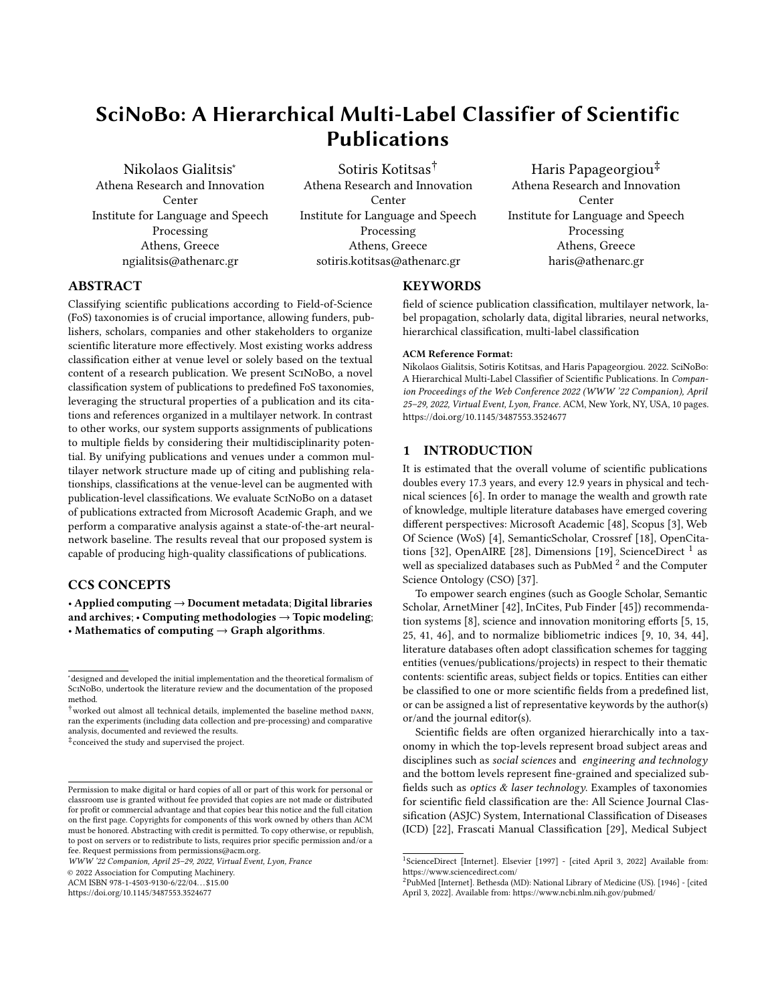<span id="page-7-1"></span>

Figure 4: macro-f1 distribution of all the FoS labels sorted by ascending order according to the number of instances. The names of the labels were omitted for simplicity.

<span id="page-7-0"></span>

| DOI                           | <b>TITLE</b>                                                                                                                              | PUBLISHED VENUE                    | SCINOBO-REF                                   | <b>SCINOBO-CITREF</b>       | LABEL                                         |
|-------------------------------|-------------------------------------------------------------------------------------------------------------------------------------------|------------------------------------|-----------------------------------------------|-----------------------------|-----------------------------------------------|
| 10.3788/COL201715.062201      | Versatile nanosphere lithography technique combining multiple exposure<br>nanosphere lens lithography and nanosphere template lithography | Chinese Optics Letters             | Optics                                        | NanoScience<br>& Technology | Optics                                        |
| 10.1089/ast.2019.2203         | The Role of Meteorite Impacts<br>in the Origin of Life                                                                                    | Astrobiology                       | Astronomy<br>& Astrophysics                   | Developmental<br>Biology    | Astronomy<br>& Astrophysics                   |
| 10.1080/08839514.2018.1506971 | Strategic Particle Swarm Inertia<br>Selection for Electricity Markets<br>Participation Portfolio Optimization                             | Applied Artificial<br>Intelligence | Artificial Intelligence<br>& Image Processing | Energy                      | Artificial Intelligence<br>& Image Processing |

Table 5: Publications presented with metadata (DOI, TITLE, ABSTRACT, PUBLISHED VENUE) along with the true FoS label of our dataset and the inferred FoS label of SciNoBo-ref and SciNoBo-citref. Only snippets of the abstracts are presented.

with time and shows the importance of creating a publication-level multi-labeled dataset. The above-mentioned argument explains the lower macro-f1 and micro-f1 scores in SciNoBo-citref, which according to the labeling of the dataset inferred the publications incorrectly.

Case study for SCINOBO and DANN: In Figure [4,](#page-7-1) we present the MACRO-F1 distribution of SCINOBO-REF and DANN for all the FoS labels, ordered by ascending order according to the number of instances. Recall that DANN only outperforms ScINoBo and its variants in the WEIGHTED-MACRO-F1 setting. Note that the MACRO-F1's scores remain the same in both settings but in WEIGHTEDmacro-f1 they are weighted according to the number of instances (support) each FoS label has in the evaluation set. We observe that the overall performance of SCINOBO-REF is better than DANN. However, SciNoBo-ref performs poorly in some of the FoS labels, whereas DANN performs fairly well in them indicating the reason for the high WEIGHTED-MACRO-F1 score of DANN.

# 6 CONCLUSIONS AND FUTURE WORK

We propose SciNoBo, a new method to perform Field of Science (FoS) classification along with a new taxonomy based on the classification scheme of the OECD disciplines/fields of research and development (FORD) and sciencemetrix journal classification. SciNoBo along with the FoS taxonomy are inherently hierarchical and can perform multi-label and multiclass evaluations across all disciplines as opposed to previous work. Our proposed method leverages the strengths of utilizing minimal metadata that are always available, even at the first day a publication is published. By incorporating citing/publishing relationships into a Multilayer Graph containing publications-venues-FoS Labels, we are able to provide "contextaware" classifications without relying on the publication content as in many previous works. Furthermore, since our method can

utilize citations that publications received, we can perform case studies showcasing the multidisciplinary nature of publications and how they can be assigned to more than one FoS labels in the course of time. We evaluated our method in a dataset created from sciencemetrix classification and mag publications. Even though our dataset and baseline support only multiclass evaluation, experimental results and qualitative analysis demonstrated that our method is effective and outperforms a deep-learning method which rely solely on abstract information.

In future work, we plan to create a hierarchical publication-level multi-labeled dataset to better understand the benefits of SciNoBo and to encourage further research. In addition, we plan to extend our FoS taxonomy to broader levels, to provide a better sense of granularity, which will also help us to identify emerging FoS labels and classify publications to them. Moreover, we will explore alterna-tive data sources, such as the OpenAlex<sup>[16](#page-7-2)</sup> public repository, as well as, alternative ways of assessing relations between publications beyond direct citation scores.

# ACKNOWLEDGMENTS

The authors thank the three anonymous reviewers for their constructive feedback. The authors would also like to thank Dimitris Pappas for his invaluable support on data collection, conceptualization of the layer-layer inference, and proposal of the multiplication of normalized weights during the inference step. This work was supported by research grants from the European Union's Horizon 2020 Research and Innovation Programme under grant agreement 101004870 [\(https://cordis.europa.eu/project/id/101004870\)](https://cordis.europa.eu/project/id/101004870) and the EOSC Future Project under grant agreement 101017536 [\(https:](https://cordis.europa.eu/project/id/101017536) [//cordis.europa.eu/project/id/101017536\)](https://cordis.europa.eu/project/id/101017536).

<span id="page-7-2"></span><sup>16</sup><https://docs.openalex.org/>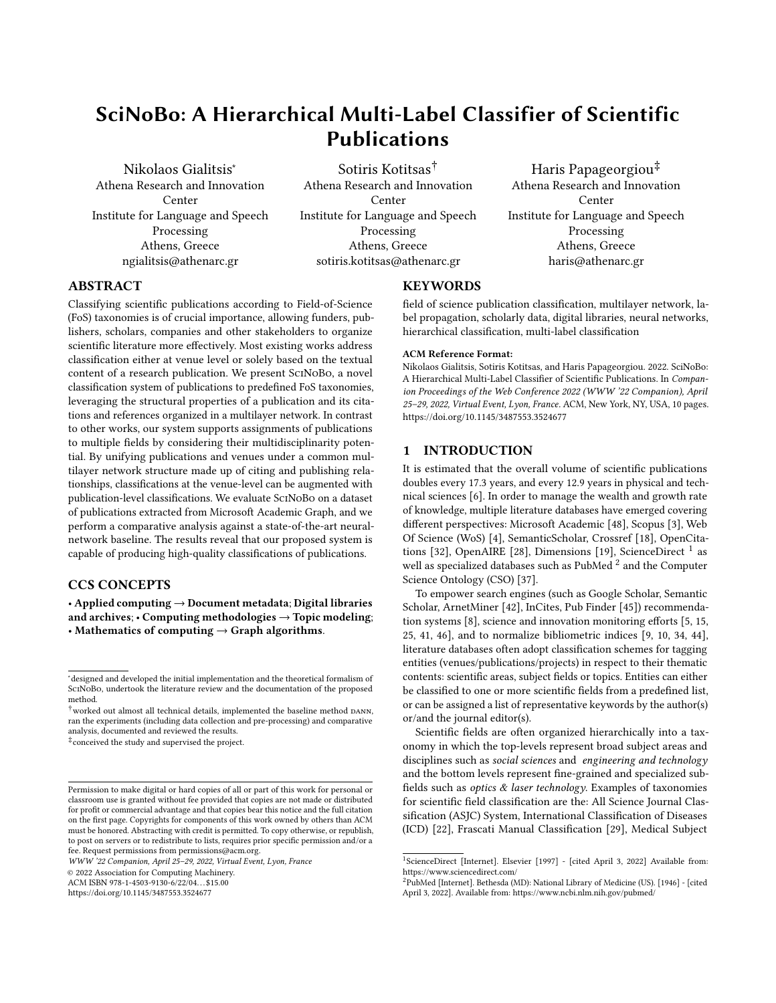SciNoBo : A Hierarchical Multi-Label Classifier of Scientific Publications WWW '22 Companion, April 25–29, 2022, Virtual Event, Lyon, France

# **REFERENCES**

- <span id="page-8-37"></span>[1] Mehwish Alam, Russa Biswas, Yiyi Chen, Danilo Dessì, Genet Asefa Gesese, Fabian Hoppe, and Harald Sack. 2021. HierClasSArt: Knowledge-Aware Hierarchical Classification of Scholarly Articles. In Companion Proceedings of the Web Conference 2021. Association for Computing Machinery, New York, NY, USA, 436–440.<https://doi.org/10.1145/3442442.3451365>
- <span id="page-8-29"></span>[2] Éric Archambault, Olivier H Beauchesne, and Julie Caruso. 2011. Towards a multilingual, comprehensive and open scientific journal ontology. In Proceedings of the 13th international conference of the international society for scientometrics and informetrics. Durban South Africa, 66–77.
- <span id="page-8-1"></span>[3] Jeroen Baas, Michiel Schotten, Andrew Plume, Grégoire Côté, and Reza Karimi. 2020. Scopus as a curated, high-quality bibliometric data source for academic research in quantitative science studies. Quantitative Science Studies 1, 1 (2020), 377–386. Publisher: MIT Press One Rogers Street, Cambridge.
- <span id="page-8-2"></span>[4] Caroline Birkle, David A Pendlebury, Joshua Schnell, and Jonathan Adams. 2020. Web of Science as a data source for research on scientific and scholarly activity. Quantitative Science Studies 1, 1 (2020), 363–376. Publisher: MIT Press One Rogers Street, Cambridge.
- <span id="page-8-9"></span>[5] Annette Boaz, Siobhan Fitzpatrick, and Ben Shaw. 2009. Assessing the impact of research on policy: A literature review. Science and Public Policy 36,<br>4 (May 2009), 255–270. https://doi.org/10.3152/030234209X436545 eprint: 4 (May 2009), 255–270.<https://doi.org/10.3152/030234209X436545> https://academic.oup.com/spp/article-pdf/36/4/255/4693984/36-4-255.pdf.
- <span id="page-8-0"></span>[6] Lutz Bornmann, Robin Haunschild, and Rüdiger Mutz. 2021. Growth rates of modern science: a latent piecewise growth curve approach to model publication numbers from established and new literature databases. Humanities and Social Sciences Communications 8, 1 (2021), 1–15. Publisher: Palgrave.
- <span id="page-8-34"></span>[7] Cornelia Caragea, Florin Bulgarov, and Rada Mihalcea. 2015. Co-training for topic classification of scholarly data. In Proceedings of the 2015 conference on empirical methods in natural language processing. Association for Computational Linguistics, Lisbon, Portugal, 2357–2366.
- <span id="page-8-8"></span>[8] Worasit Choochaiwattana. 2010. Usage of tagging for research paper recommendation. In 2010 3rd International Conference on Advanced Computer Theory and Engineering (ICACTE), Vol. 2. IEEE, Chengdu, China, V2–439. [https:](https://doi.org/10.1109/ICACTE.2010.5579321) [//doi.org/10.1109/ICACTE.2010.5579321](https://doi.org/10.1109/ICACTE.2010.5579321)
- <span id="page-8-13"></span>[9] Lisa Colledge. 2014. Snowball metrics recipe book. Amsterdam: Snowball Metrics Program Partners 110 (2014), 82.
- <span id="page-8-14"></span>[10] Lisa Colledge and R Verlinde. 2014. Scival metrics guidebook. Netherlands: Elsevier (2014), 68.
- <span id="page-8-40"></span>[11] Noshir Contractor, Peter Monge, and Paul M Leonardi. 2011. Network Theory| multidimensional networks and the dynamics of sociomateriality: bringing technology inside the network. International Journal of Communication 5 (2011), 39.
- <span id="page-8-19"></span>[12] Joshua Eykens, Raf Guns, and Tim C. E. Engels. 2021. Fine-grained classification of social science journal articles using textual data: A comparison of supervised machine learning approaches. Quantitative Science Studies 2, 1 (April 2021), 89–110. [https://doi.org/10.1162/qss\\_a\\_00106](https://doi.org/10.1162/qss_a_00106) \_eprint: https://direct.mit.edu/qss/article-
- <span id="page-8-27"></span>pdf/2/1/89/1906557/qss\_a\_00106.pdf. [13] Eugene Garfield, Morton V Malin, and Henry Small. 1975. A system for automatic classification of scientific literature. Journal of the Indian Institute of Science 57, 2 (1975), 14.
- <span id="page-8-28"></span>[14] Belver C Griffith, Henry G Small, Judith A Stonehill, and Sandra Dey. 1974. The structure of scientific literatures II: Toward a macro-and microstructure for science. Science studies 4, 4 (1974), 339–365. Publisher: Sage Publications Sage CA: Thousand Oaks, CA.
- <span id="page-8-10"></span>[15] Ioanna Grypari, Dimitris Pappas, Natalia Manola, and Haris Papageorgiou. 2020. Research & Innovation Activities' Impact Assessment: The Data4Impact System. In Proceedings of the 1st Workshop on Language Technologies for Government and Public Administration (LT4Gov). European Language Resources Association, Marseille, France, 22–27.<https://aclanthology.org/2020.lt4gov-1.4>
- <span id="page-8-39"></span>[16] Zaynab Hammoud and Frank Kramer. 2020. Multilayer networks: aspects, implementations, and application in biomedicine. Big Data Analytics 5, 1 (2020), 1–18. Publisher: Springer.
- <span id="page-8-32"></span>[17] Qi He, Bi Chen, Jian Pei, Baojun Qiu, Prasenjit Mitra, and Lee Giles. 2009. Detecting Topic Evolution in Scientific Literature: How Can Citations Help?. In Proceedings of the 18th ACM Conference on Information and Knowledge Management (CIKM '09). Association for Computing Machinery, New York, NY, USA, 957–966.<https://doi.org/10.1145/1645953.1646076> event-place: Hong Kong, China.
- <span id="page-8-3"></span>[18] Ginny Hendricks, Dominika Tkaczyk, Jennifer Lin, and Patricia Feeney. 2020. Crossref: The sustainable source of community-owned scholarly metadata. Quantitative Science Studies 1, 1 (2020), 414–427. Publisher: MIT Press One Rogers Street, Cambridge.
- <span id="page-8-6"></span>[19] Christian Herzog, Daniel Hook, and Stacy Konkiel. 2020. Dimensions: Bringing down barriers between scientometricians and data. Quantitative Science Studies 1, 1 (2020), 387–395. Publisher: MIT Press One Rogers Street, Cambridge.
- <span id="page-8-20"></span>[20] Fabian Hoppe, Danilo Dessì, and Harald Sack. 2021. Deep Learning Meets Knowledge Graphs for Scholarly Data Classification. In Companion Proceedings

of the Web Conference 2021. Association for Computing Machinery, New York, NY, USA, 417–421.<https://doi.org/10.1145/3442442.3451361>

- <span id="page-8-21"></span>[21] Bharath Kandimalla, Shaurya Rohatgi, Jian Wu, and C Lee Giles. 2021. Large scale subject category classification of scholarly papers with deep attentive neural networks. Frontiers in research metrics and analytics 5 (2021), 31. Publisher: Frontiers.
- <span id="page-8-16"></span>[22] Brigitte Khoury, Cary Kogan, and Sariah Daouk. 2017. International Classification of Diseases 11th Edition (ICD-11). In Encyclopedia of Personality and Individual Differences, Virgil Zeigler-Hill and Todd K. Shackelford (Eds.). Springer International Publishing, Cham, 1–6. [https://doi.org/10.1007/978-3-319-28099-8\\_904-1](https://doi.org/10.1007/978-3-319-28099-8_904-1)
- <span id="page-8-38"></span>[23] Mikko Kivelä, Alex Arenas, Marc Barthelemy, James P Gleeson, Yamir Moreno, and Mason A Porter. 2014. Multilayer networks. Journal of complex networks 2, 3 (2014), 203–271. Publisher: Oxford University Press.
- <span id="page-8-36"></span>[24] Karol Kurach, Krzysztof Pawlowski, Lukasz Romaszko, Marcin Tatjewski, Andrzej Janusz, and Hung Son Nguyen. 2013. Multi-label Classification of Biomedical Articles. In Intelligent Tools for Building a Scientific Information Platform: Advanced Architectures and Solutions, Robert Bembenik, Lukasz Skonieczny, Henryk Rybinski, Marzena Kryszkiewicz, and Marek Niezgodka (Eds.). Springer Berlin Heidelberg, Berlin, Heidelberg, 199–214. [https://doi.org/10.1007/978-3-642-35647-6\\_15](https://doi.org/10.1007/978-3-642-35647-6_15)
- <span id="page-8-11"></span>[25] Walter Leal Filho, Ulisses Azeiteiro, Fátima Alves, Paul Pace, Mark Mifsud, Luciana Brandli, Sandra S Caeiro, and Antje Disterheft. 2018. Reinvigorating the sustainable development research agenda: the role of the sustainable development goals (SDG). International Journal of Sustainable Development & World Ecology 25, 2 (2018), 131–142. Publisher: Taylor & Francis.
- <span id="page-8-30"></span>[26] Loet Leydesdorff and Ismael Rafols. 2009. A global map of science based on the ISI subject categories. Journal of the American Society for Information Science and Technology 60, 2 (2009), 348–362. Publisher: Wiley Online Library.
- <span id="page-8-35"></span>[27] Micha\l Lukasik, Tomasz Kuśmierczyk, \Lukasz Bolikowski, and Hung Son Nguyen. 2013. Hierarchical, multi-label classification of scholarly publications: modifications of ML-KNN algorithm. In Intelligent tools for building a scientific information platform. Springer, 343–363.
- <span id="page-8-5"></span>[28] Paolo Manghi, Alessia Bardi, Claudio Atzori, Miriam Baglioni, Natalia Manola, Jochen Schirrwagen, Pedro Principe, Michele Artini, Amelie Becker, Michele De Bonis, and others. 2019. The OpenAIRE research graph data model. Zenodo (2019), 23.<br>[29] OECD. 2015.
- <span id="page-8-17"></span>Frascati Manual 2015. Organisation for Economic Cooperation and Development. [https://www.oecd-ilibrary.org/content/publication/](https://www.oecd-ilibrary.org/content/publication/9789264239012-en) [9789264239012-en](https://www.oecd-ilibrary.org/content/publication/9789264239012-en)
- <span id="page-8-31"></span>[30] Francesco Osborne, Angelo Salatino, Aliaksandr Birukou, and Enrico Motta. 2016. Automatic classification of springer nature proceedings with smart topic miner. In International Semantic Web Conference. Springer, 383–399.
- <span id="page-8-25"></span>[31] Antonio Perianes-Rodriguez and Javier Ruiz-Castillo. 2017. A comparison of the Web of Science and publication-level classification systems of science. Journal of Informetrics 11, 1 (2017), 32–45. Publisher: Elsevier.
- <span id="page-8-4"></span>[32] Silvio Peroni and David Shotton. 2020. OpenCitations, an infrastructure organization for open scholarship. Quantitative Science Studies 1, 1 (2020), 428–444. Publisher: MIT Press One Rogers Street, Cambridge.
- <span id="page-8-22"></span>[33] M Rivest, E Vignola-Gagne, and E Archambault. 2021. Article-level classification of scientific publications: A comparison of deep learning, direct citation and bibliographic coupling. PloS one 16, 5 (2021).
- <span id="page-8-15"></span>[34] Javier Ruiz-Castillo and Ludo Waltman. 2015. Field-normalized citation impact indicators using algorithmically constructed classification systems of science. Journal of Informetrics 9, 1 (2015), 102–117. Publisher: Elsevier.
- <span id="page-8-23"></span>[35] Angelo Salatino, Francesco Osborne, and Enrico Motta. 2021. CSO Classifier 3.0: a scalable unsupervised method for classifying documents in terms of research topics. International Journal on Digital Libraries (2021), 1–20. Publisher: Springer.
- <span id="page-8-24"></span>[36] Angelo Salatino, Thiviyan Thanapalasingam, Andrea Mannocci, Francesco Osborne, and Enrico Motta. 2018. Classifying Research Papers with the Computer Science Ontology. In SEMWEB.
- <span id="page-8-7"></span>[37] Angelo A Salatino, Thiviyan Thanapalasingam, Andrea Mannocci, Francesco Osborne, and Enrico Motta. 2018. The computer science ontology: a large-scale taxonomy of research areas. In International Semantic Web Conference. Springer, 187–205.
- <span id="page-8-18"></span>[38] Zhihong Shen, Hao Ma, and Kuansan Wang. 2018. A web-scale system for scientific knowledge exploration. arXiv preprint arXiv:1805.12216 (2018).
- <span id="page-8-26"></span>[39] Fei Shu, Charles-Antoine Julien, Lin Zhang, Junping Qiu, Jing Zhang, and Vincent Larivière. 2019. Comparing journal and paper level classifications of science. Journal of Informetrics 13, 1 (2019), 202–225. Publisher: Elsevier.
- <span id="page-8-33"></span>[40] Henry Small, Kevin W Boyack, and Richard Klavans. 2014. Identifying emerging topics in science and technology. Research policy 43, 8 (2014), 1450–1467. Publisher: Elsevier.
- <span id="page-8-12"></span>[41] Vilius Stanciauskas, Ioanna Grypari, Gustaf Nelhans, G Papageorgiou, and I Demiros. 2020. Policy report on new indicators and approaches for assessing the societal impact of re-search and innovation activities: Big Data approaches for improved monitoring of re-search and innovation performance and assessment of the societal impact in the Health, Demographic Change and Wellbeing Societal Challenge.